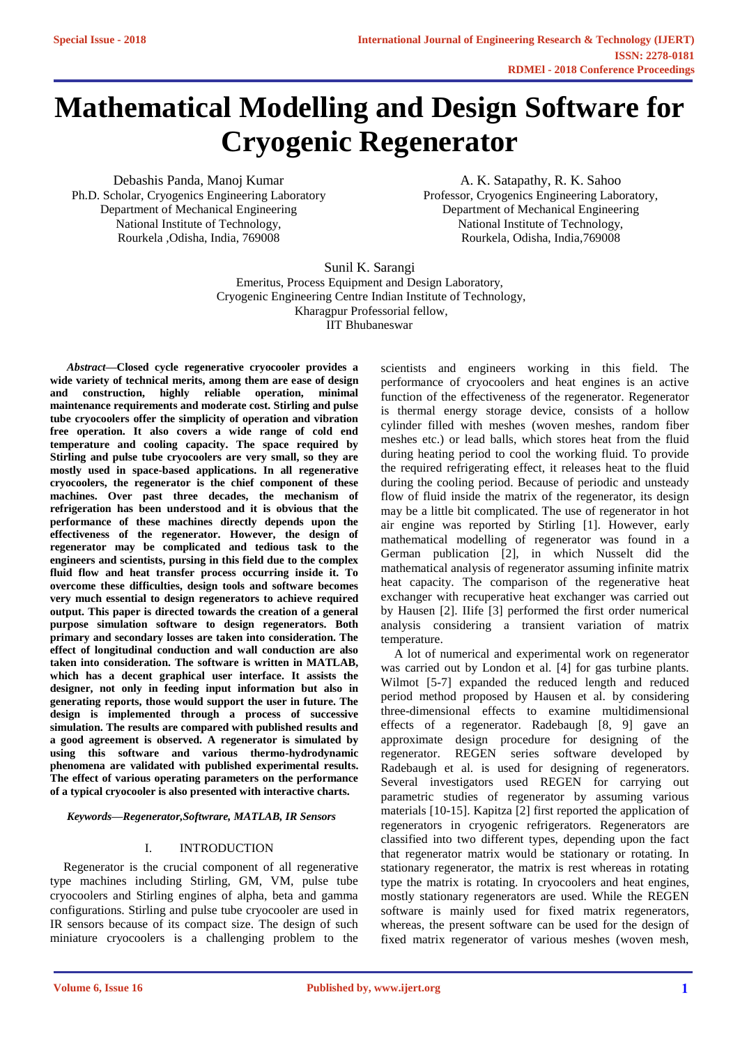# **[Mathematical Modelling and Design Software for](https://www.ijert.org/cfp)  Cryogenic Regenerator**

Debashis Panda, Manoj Kumar Ph.D. Scholar, Cryogenics Engineering Laboratory Department of Mechanical Engineering National Institute of Technology, Rourkela ,Odisha, India, 769008

A. K. Satapathy, R. K. Sahoo Professor, Cryogenics Engineering Laboratory, Department of Mechanical Engineering National Institute of Technology, Rourkela, Odisha, India,769008

Sunil K. Sarangi Emeritus, Process Equipment and Design Laboratory, Cryogenic Engineering Centre Indian Institute of Technology, Kharagpur Professorial fellow, IIT Bhubaneswar

*Abstract***—Closed cycle regenerative cryocooler provides a wide variety of technical merits, among them are ease of design and construction, highly reliable operation, minimal maintenance requirements and moderate cost. Stirling and pulse tube cryocoolers offer the simplicity of operation and vibration free operation. It also covers a wide range of cold end temperature and cooling capacity. The space required by Stirling and pulse tube cryocoolers are very small, so they are mostly used in space-based applications. In all regenerative cryocoolers, the regenerator is the chief component of these machines. Over past three decades, the mechanism of refrigeration has been understood and it is obvious that the performance of these machines directly depends upon the effectiveness of the regenerator. However, the design of regenerator may be complicated and tedious task to the engineers and scientists, pursing in this field due to the complex fluid flow and heat transfer process occurring inside it. To overcome these difficulties, design tools and software becomes very much essential to design regenerators to achieve required output. This paper is directed towards the creation of a general purpose simulation software to design regenerators. Both primary and secondary losses are taken into consideration. The effect of longitudinal conduction and wall conduction are also taken into consideration. The software is written in MATLAB, which has a decent graphical user interface. It assists the designer, not only in feeding input information but also in generating reports, those would support the user in future. The design is implemented through a process of successive simulation. The results are compared with published results and a good agreement is observed. A regenerator is simulated by using this software and various thermo-hydrodynamic phenomena are validated with published experimental results. The effect of various operating parameters on the performance of a typical cryocooler is also presented with interactive charts.**

*Keywords—Regenerator,Softwrare, MATLAB, IR Sensors*

## I. INTRODUCTION

Regenerator is the crucial component of all regenerative type machines including Stirling, GM, VM, pulse tube cryocoolers and Stirling engines of alpha, beta and gamma configurations. Stirling and pulse tube cryocooler are used in IR sensors because of its compact size. The design of such miniature cryocoolers is a challenging problem to the scientists and engineers working in this field. The performance of cryocoolers and heat engines is an active function of the effectiveness of the regenerator. Regenerator is thermal energy storage device, consists of a hollow cylinder filled with meshes (woven meshes, random fiber meshes etc.) or lead balls, which stores heat from the fluid during heating period to cool the working fluid. To provide the required refrigerating effect, it releases heat to the fluid during the cooling period. Because of periodic and unsteady flow of fluid inside the matrix of the regenerator, its design may be a little bit complicated. The use of regenerator in hot air engine was reported by Stirling [1]. However, early mathematical modelling of regenerator was found in a German publication [2], in which Nusselt did the mathematical analysis of regenerator assuming infinite matrix heat capacity. The comparison of the regenerative heat exchanger with recuperative heat exchanger was carried out by Hausen [2]. IIife [3] performed the first order numerical analysis considering a transient variation of matrix temperature.

A lot of numerical and experimental work on regenerator was carried out by London et al. [4] for gas turbine plants. Wilmot [5-7] expanded the reduced length and reduced period method proposed by Hausen et al. by considering three-dimensional effects to examine multidimensional effects of a regenerator. Radebaugh [8, 9] gave an approximate design procedure for designing of the regenerator. REGEN series software developed by Radebaugh et al. is used for designing of regenerators. Several investigators used REGEN for carrying out parametric studies of regenerator by assuming various materials [10-15]. Kapitza [2] first reported the application of regenerators in cryogenic refrigerators. Regenerators are classified into two different types, depending upon the fact that regenerator matrix would be stationary or rotating. In stationary regenerator, the matrix is rest whereas in rotating type the matrix is rotating. In cryocoolers and heat engines, mostly stationary regenerators are used. While the REGEN software is mainly used for fixed matrix regenerators, whereas, the present software can be used for the design of fixed matrix regenerator of various meshes (woven mesh,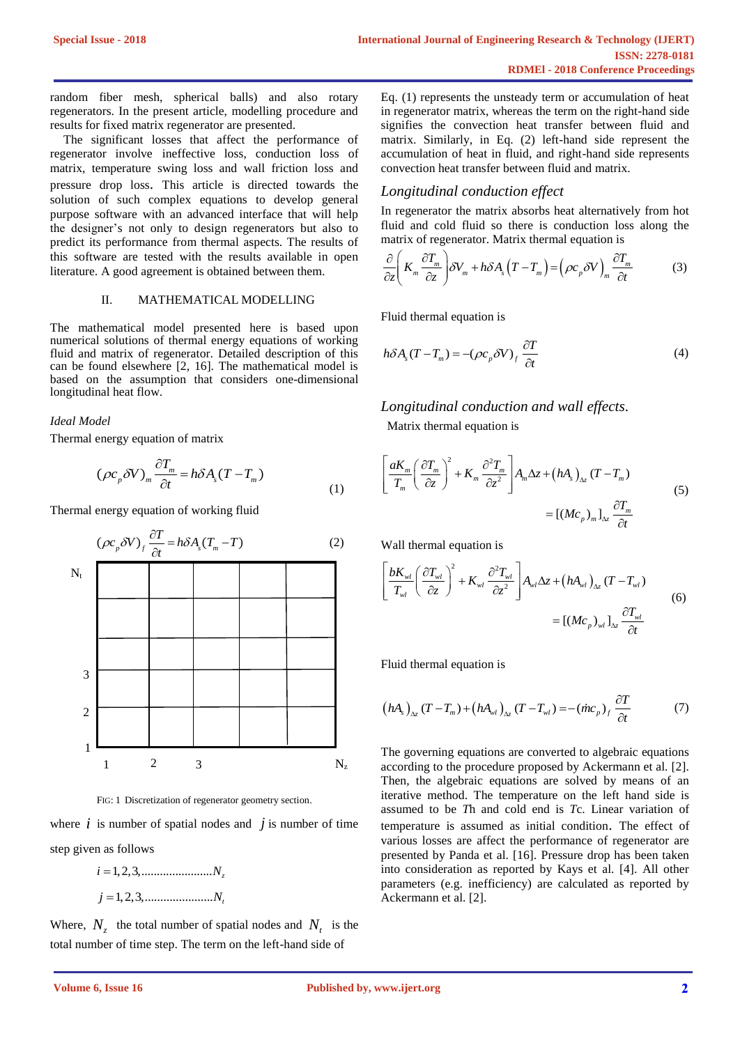random fiber mesh, spherical balls) and also rotary regenerators. In the present article, modelling procedure and results for fixed matrix regenerator are presented.

The significant losses that affect the performance of regenerator involve ineffective loss, conduction loss of matrix, temperature swing loss and wall friction loss and pressure drop loss. This article is directed towards the solution of such complex equations to develop general purpose software with an advanced interface that will help the designer's not only to design regenerators but also to predict its performance from thermal aspects. The results of this software are tested with the results available in open literature. A good agreement is obtained between them.

## II. MATHEMATICAL MODELLING

The mathematical model presented here is based upon numerical solutions of thermal energy equations of working fluid and matrix of regenerator. Detailed description of this can be found elsewhere [2, 16]. The mathematical model is based on the assumption that considers one-dimensional longitudinal heat flow.

### *Ideal Model*

Thermal energy equation of matrix

$$
(\rho c_p \delta V)_m \frac{\partial T_m}{\partial t} = h \delta A_s (T - T_m)
$$
\n(1)

Thermal energy equation of working fluid



FIG: 1 Discretization of regenerator geometry section.

where  $i$  is number of spatial nodes and  $j$  is number of time step given as follows

> $i = 1, 2, 3, \dots$  *N*<sub>z</sub>  $j = 1, 2, 3, \dots$  *N*<sub>*t*</sub>

Where,  $N_z$  the total number of spatial nodes and  $N_t$  is the total number of time step. The term on the left-hand side of

Eq. (1) represents the unsteady term or accumulation of heat in regenerator matrix, whereas the term on the right-hand side signifies the convection heat transfer between fluid and matrix. Similarly, in Eq. (2) left-hand side represent the accumulation of heat in fluid, and right-hand side represents convection heat transfer between fluid and matrix.

## *Longitudinal conduction effect*

In regenerator the matrix absorbs heat alternatively from hot fluid and cold fluid so there is conduction loss along the

matrix of regenerator. Matrix thermal equation is  
\n
$$
\frac{\partial}{\partial z} \left( K_m \frac{\partial T_m}{\partial z} \right) \delta V_m + h \delta A_s \left( T - T_m \right) = \left( \rho c_p \delta V \right)_m \frac{\partial T_m}{\partial t}
$$
\n(3)

Fluid thermal equation is

$$
h\delta A_s(T - T_m) = -(\rho c_p \delta V)_f \frac{\partial T}{\partial t}
$$
\n(4)

*Longitudinal conduction and wall effects.*

Matrix thermal equation is

$$
\left[\frac{aK_m}{T_m}\left(\frac{\partial T_m}{\partial z}\right)^2 + K_m \frac{\partial^2 T_m}{\partial z^2}\right] A_m \Delta z + \left(hA_s\right)_{\Delta z} (T - T_m)
$$
\n
$$
= \left[\left(Mc_p\right)_{m}\right]_{\Delta z} \frac{\partial T_m}{\partial t}
$$
\n(5)

Wall thermal equation is

Wall thermal equation is  
\n
$$
\left[\frac{bK_{wl}}{T_{wl}}\left(\frac{\partial T_{wl}}{\partial z}\right)^2 + K_{wl}\frac{\partial^2 T_{wl}}{\partial z^2}\right]A_{wl}\Delta z + \left(hA_{wl}\right)_{\Delta z}(T - T_{wl})
$$
\n
$$
= \left[\left(Mc_p\right)_{wl}\right]_{\Delta z}\frac{\partial T_{wl}}{\partial t}
$$
\n(6)

Fluid thermal equation is

$$
(hAs)Ax (T - Tm) + (hAwl)Ax (T - Twl) = -(incp)f \frac{\partial T}{\partial t}
$$
 (7)

The governing equations are converted to algebraic equations according to the procedure proposed by Ackermann et al. [2]. Then, the algebraic equations are solved by means of an iterative method. The temperature on the left hand side is assumed to be *T*h and cold end is *T*c. Linear variation of temperature is assumed as initial condition. The effect of various losses are affect the performance of regenerator are presented by Panda et al. [16]. Pressure drop has been taken into consideration as reported by Kays et al. [4]. All other parameters (e.g. inefficiency) are calculated as reported by Ackermann et al. [2].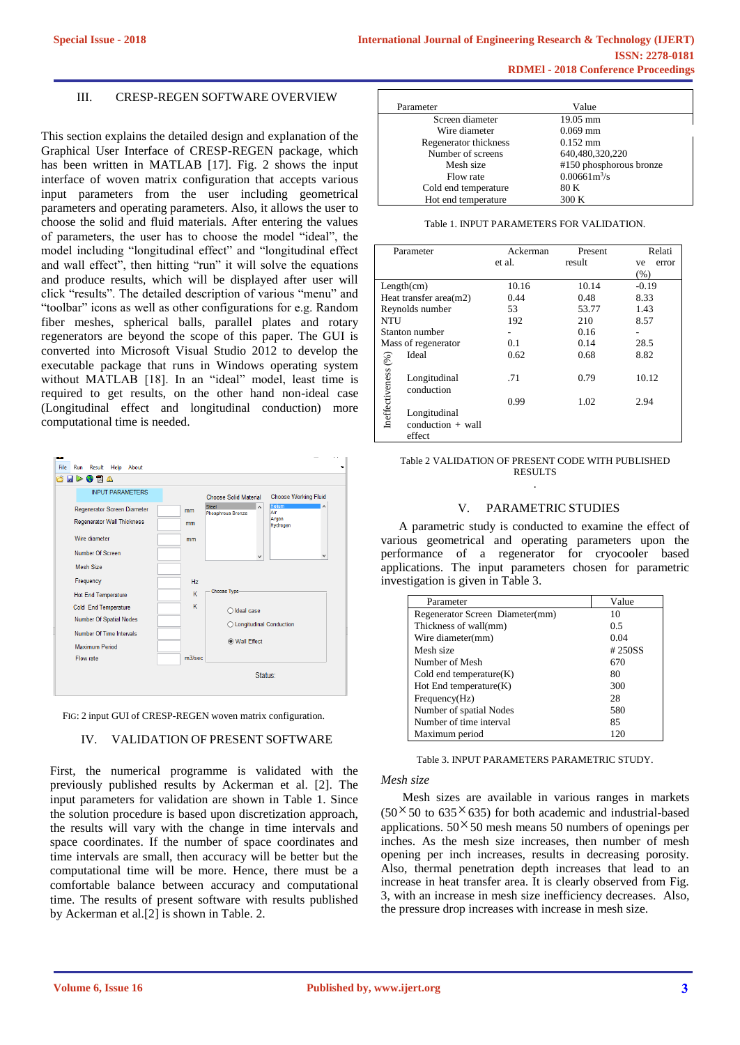## III. CRESP-REGEN SOFTWARE OVERVIEW

This section explains the detailed design and explanation of the Graphical User Interface of CRESP-REGEN package, which has been written in MATLAB [17]. Fig. 2 shows the input interface of woven matrix configuration that accepts various input parameters from the user including geometrical parameters and operating parameters. Also, it allows the user to choose the solid and fluid materials. After entering the values of parameters, the user has to choose the model "ideal", the model including "longitudinal effect" and "longitudinal effect and wall effect", then hitting "run" it will solve the equations and produce results, which will be displayed after user will click "results". The detailed description of various "menu" and "toolbar" icons as well as other configurations for e.g. Random fiber meshes, spherical balls, parallel plates and rotary regenerators are beyond the scope of this paper. The GUI is converted into Microsoft Visual Studio 2012 to develop the executable package that runs in Windows operating system [without MATLAB \[18\]. In an "ideal" model, least time is](https://www.ijert.org/cfp)  required to get results, on the other hand non-ideal case (Longitudinal effect and longitudinal conduction) more computational time is needed.



FIG: 2 input GUI of CRESP-REGEN woven matrix configuration.

## IV. VALIDATION OF PRESENT SOFTWARE

First, the numerical programme is validated with the previously published results by Ackerman et al. [2]. The input parameters for validation are shown in Table 1. Since the solution procedure is based upon discretization approach, the results will vary with the change in time intervals and space coordinates. If the number of space coordinates and time intervals are small, then accuracy will be better but the computational time will be more. Hence, there must be a comfortable balance between accuracy and computational time. The results of present software with results published by Ackerman et al.[2] is shown in Table. 2.

| Parameter             | Value                   |
|-----------------------|-------------------------|
| Screen diameter       | $19.05$ mm              |
| Wire diameter         | $0.069$ mm              |
| Regenerator thickness | $0.152$ mm              |
| Number of screens     | 640,480,320,220         |
| Mesh size             | #150 phosphorous bronze |
| Flow rate             | $0.00661m^3/s$          |
| Cold end temperature  | 80 K                    |
| Hot end temperature   | 300 K                   |

| Parameter                 |                            | Ackerman | Present | Relati      |  |
|---------------------------|----------------------------|----------|---------|-------------|--|
|                           |                            | et al.   | result  | error<br>ve |  |
|                           |                            |          |         | (% )        |  |
| Length(cm)                |                            | 10.16    | 10.14   | $-0.19$     |  |
| Heat transfer area $(m2)$ |                            | 0.44     | 0.48    | 8.33        |  |
| Reynolds number           |                            | 53       | 53.77   | 1.43        |  |
| NTU                       |                            | 192      | 210     | 8.57        |  |
| Stanton number            |                            |          | 0.16    |             |  |
|                           | Mass of regenerator        | 0.1      | 0.14    | 28.5        |  |
|                           | Ideal                      | 0.62     | 0.68    | 8.82        |  |
| Ineffectiveness (%)       | Longitudinal<br>conduction | .71      | 0.79    | 10.12       |  |
|                           |                            | 0.99     | 1.02    | 2.94        |  |
|                           | Longitudinal               |          |         |             |  |
|                           | $conduction + wall$        |          |         |             |  |
|                           | effect                     |          |         |             |  |

#### Table 2 VALIDATION OF PRESENT CODE WITH PUBLISHED RESULTS .

### V. PARAMETRIC STUDIES

A parametric study is conducted to examine the effect of various geometrical and operating parameters upon the performance of a regenerator for cryocooler based applications. The input parameters chosen for parametric investigation is given in Table 3.

| Parameter                       | Value  |
|---------------------------------|--------|
| Regenerator Screen Diameter(mm) | 10     |
| Thickness of wall(mm)           | 0.5    |
| Wire diameter(mm)               | 0.04   |
| Mesh size                       | #250SS |
| Number of Mesh                  | 670    |
| Cold end temperature $(K)$      | 80     |
| $Hot$ End temperature $(K)$     | 300    |
| Frequency(Hz)                   | 28     |
| Number of spatial Nodes         | 580    |
| Number of time interval         | 85     |
| Maximum period                  | 120    |

Table 3. INPUT PARAMETERS PARAMETRIC STUDY.

#### *Mesh size*

Mesh sizes are available in various ranges in markets  $(50 \times 50 \text{ to } 635 \times 635)$  for both academic and industrial-based applications.  $50 \times 50$  mesh means 50 numbers of openings per inches. As the mesh size increases, then number of mesh opening per inch increases, results in decreasing porosity. Also, thermal penetration depth increases that lead to an increase in heat transfer area. It is clearly observed from Fig. 3, with an increase in mesh size inefficiency decreases. Also, the pressure drop increases with increase in mesh size.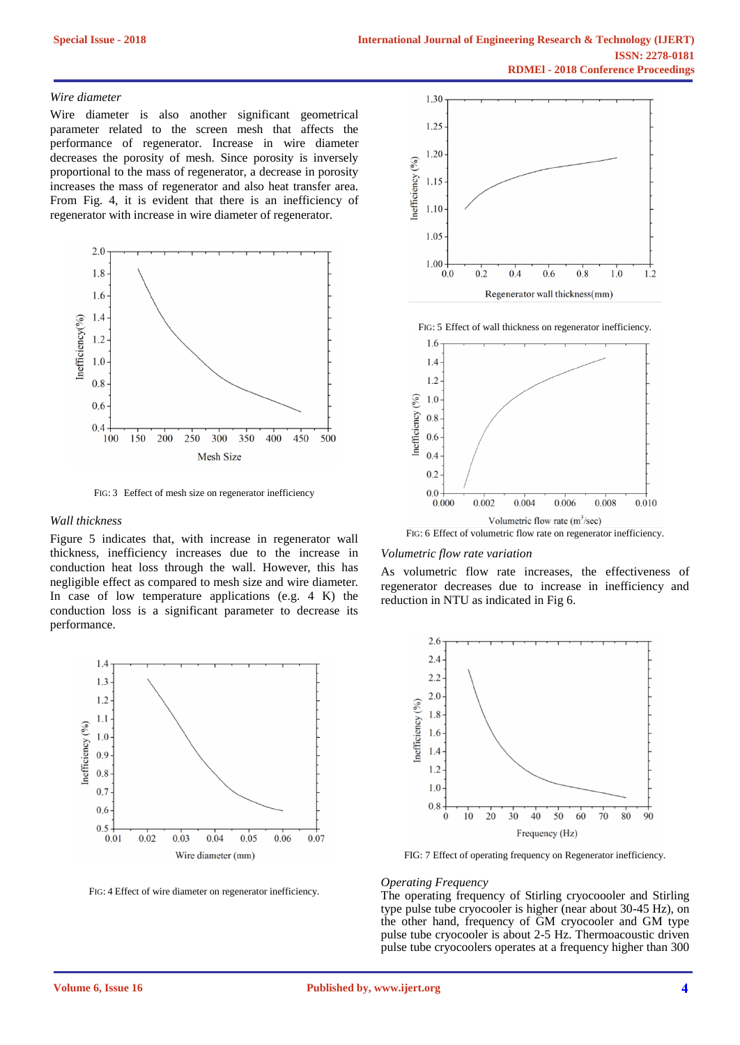## *Wire diameter*

Wire diameter is also another significant geometrical parameter related to the screen mesh that affects the performance of regenerator. Increase in wire diameter decreases the porosity of mesh. Since porosity is inversely proportional to the mass of regenerator, a decrease in porosity increases the mass of regenerator and also heat transfer area. From Fig. 4, it is evident that there is an inefficiency of regenerator with increase in wire diameter of regenerator.



FIG: 3 Eeffect of mesh size on regenerator inefficiency

#### *Wall thickness*

Figure 5 indicates that, with increase in regenerator wall thickness, inefficiency increases due to the increase in conduction heat loss through the wall. However, this has negligible effect as compared to mesh size and wire diameter. In case of low temperature applications (e.g. 4 K) the conduction loss is a significant parameter to decrease its performance.



FIG: 4 Effect of wire diameter on regenerator inefficiency.



FIG: 5 Effect of wall thickness on regenerator inefficiency.



#### *Volumetric flow rate variation*

As volumetric flow rate increases, the effectiveness of regenerator decreases due to increase in inefficiency and reduction in NTU as indicated in Fig 6.



FIG: 7 Effect of operating frequency on Regenerator inefficiency.

#### *Operating Frequency*

[The operating frequency of Stirling cryocoooler and Stirling](https://www.ijert.org/cfp)  type pulse tube cryocooler is higher (near about 30-45 Hz), on the other hand, frequency of GM cryocooler and GM type pulse tube cryocooler is about 2-5 Hz. Thermoacoustic driven pulse tube cryocoolers operates at a frequency higher than 300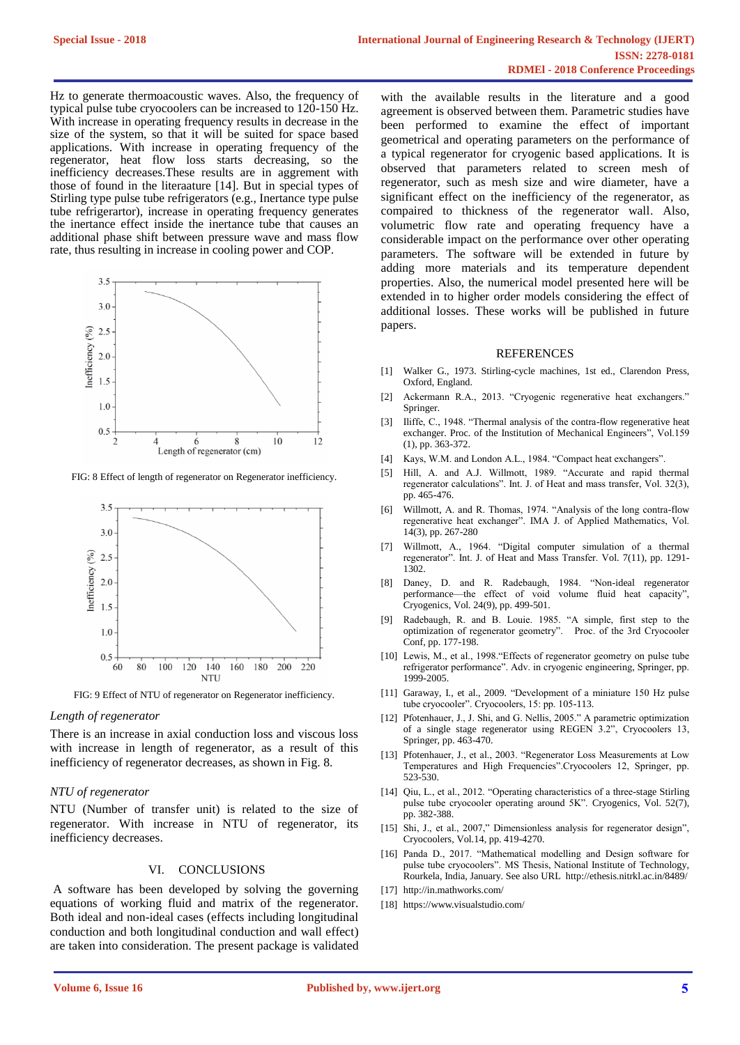Hz to generate thermoacoustic waves. Also, the frequency of typical pulse tube cryocoolers can be increased to 120-150 Hz. With increase in operating frequency results in decrease in the size of the system, so that it will be suited for space based applications. With increase in operating frequency of the regenerator, heat flow loss starts decreasing, so the inefficiency decreases.These results are in aggrement with those of found in the literaature [14]. But in special types of Stirling type pulse tube refrigerators (e.g., Inertance type pulse tube refrigerartor), increase in operating frequency generates the inertance effect inside the inertance tube that causes an additional phase shift between pressure wave and mass flow rate, thus resulting in increase in cooling power and COP.



FIG: 8 Effect of length of regenerator on Regenerator inefficiency.



#### *Length of regenerator*

There is an increase in axial conduction loss and viscous loss with increase in length of regenerator, as a result of this inefficiency of regenerator decreases, as shown in Fig. 8.

## *NTU of regenerator*

NTU (Number of transfer unit) is related to the size of regenerator. With increase in NTU of regenerator, its inefficiency decreases.

#### VI. CONCLUSIONS

A software has been developed by solving the governing [equations of working fluid and matrix of the regenerator.](https://www.ijert.org/cfp)  Both ideal and non-ideal cases (effects including longitudinal conduction and both longitudinal conduction and wall effect) are taken into consideration. The present package is validated

with the available results in the literature and a good agreement is observed between them. Parametric studies have been performed to examine the effect of important geometrical and operating parameters on the performance of a typical regenerator for cryogenic based applications. It is observed that parameters related to screen mesh of regenerator, such as mesh size and wire diameter, have a significant effect on the inefficiency of the regenerator, as compaired to thickness of the regenerator wall. Also, volumetric flow rate and operating frequency have a considerable impact on the performance over other operating parameters. The software will be extended in future by adding more materials and its temperature dependent properties. Also, the numerical model presented here will be extended in to higher order models considering the effect of additional losses. These works will be published in future papers.

## REFERENCES

- [1] Walker G., 1973. Stirling-cycle machines, 1st ed., Clarendon Press, Oxford, England.
- [2] Ackermann R.A., 2013. "Cryogenic regenerative heat exchangers." Springer.
- [3] Iliffe, C., 1948. "Thermal analysis of the contra-flow regenerative heat exchanger. Proc. of the Institution of Mechanical Engineers", Vol.159 (1), pp. 363-372.
- [4] Kays, W.M. and London A.L., 1984. "Compact heat exchangers".
- [5] Hill, A. and A.J. Willmott, 1989. "Accurate and rapid thermal regenerator calculations". Int. J. of Heat and mass transfer, Vol. 32(3), pp. 465-476.
- [6] Willmott, A. and R. Thomas, 1974. "Analysis of the long contra-flow regenerative heat exchanger". IMA J. of Applied Mathematics, Vol. 14(3), pp. 267-280
- [7] Willmott, A., 1964. "Digital computer simulation of a thermal regenerator". Int. J. of Heat and Mass Transfer. Vol. 7(11), pp. 1291- 1302.
- [8] Daney, D. and R. Radebaugh, 1984. "Non-ideal regenerator performance—the effect of void volume fluid heat capacity", Cryogenics, Vol. 24(9), pp. 499-501.
- [9] Radebaugh, R. and B. Louie. 1985. "A simple, first step to the optimization of regenerator geometry". Proc. of the 3rd Cryocooler Conf, pp. 177-198.
- [10] Lewis, M., et al., 1998."Effects of regenerator geometry on pulse tube refrigerator performance". Adv. in cryogenic engineering, Springer, pp. 1999-2005.
- [11] Garaway, I., et al., 2009. "Development of a miniature 150 Hz pulse tube cryocooler". Cryocoolers, 15: pp. 105-113.
- [12] Pfotenhauer, J., J. Shi, and G. Nellis, 2005." A parametric optimization of a single stage regenerator using REGEN 3.2", Cryocoolers 13, Springer, pp. 463-470.
- [13] Pfotenhauer, J., et al., 2003. "Regenerator Loss Measurements at Low Temperatures and High Frequencies".Cryocoolers 12, Springer, pp. 523-530.
- [14] Qiu, L., et al., 2012. "Operating characteristics of a three-stage Stirling pulse tube cryocooler operating around 5K". Cryogenics, Vol. 52(7), pp. 382-388.
- [15] Shi, J., et al., 2007," Dimensionless analysis for regenerator design", Cryocoolers, Vol.14, pp. 419-4270.
- [16] Panda D., 2017. "Mathematical modelling and Design software for pulse tube cryocoolers". MS Thesis, National Institute of Technology, Rourkela, India, January. See also URL http://ethesis.nitrkl.ac.in/8489/
- [17] http://in.mathworks.com/
- [18] https://www.visualstudio.com/